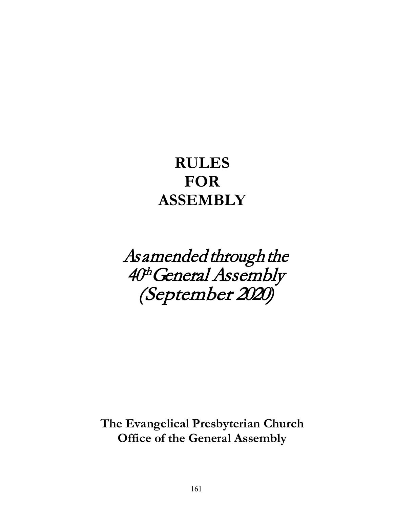# **RULES FOR ASSEMBLY**

As amended through the 40th General Assembly (September 2020)

**The Evangelical Presbyterian Church Office of the General Assembly**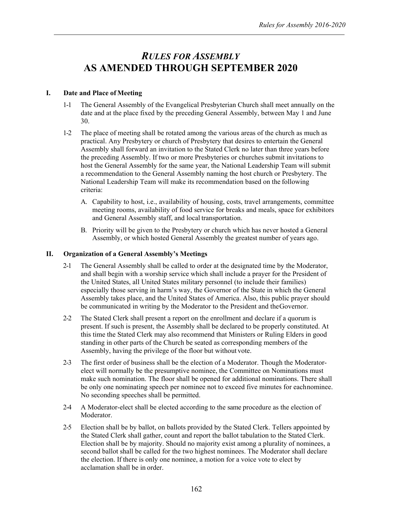# *RULES FOR ASSEMBLY*  **AS AMENDED THROUGH SEPTEMBER 2020**

#### **I. Date and Place of Meeting**

- 1-1 The General Assembly of the Evangelical Presbyterian Church shall meet annually on the date and at the place fixed by the preceding General Assembly, between May 1 and June 30.
- 1-2 The place of meeting shall be rotated among the various areas of the church as much as practical. Any Presbytery or church of Presbytery that desires to entertain the General Assembly shall forward an invitation to the Stated Clerk no later than three years before the preceding Assembly. If two or more Presbyteries or churches submit invitations to host the General Assembly for the same year, the National Leadership Team will submit a recommendation to the General Assembly naming the host church or Presbytery. The National Leadership Team will make its recommendation based on the following criteria:
	- A. Capability to host, i.e., availability of housing, costs, travel arrangements, committee meeting rooms, availability of food service for breaks and meals, space for exhibitors and General Assembly staff, and local transportation.
	- B. Priority will be given to the Presbytery or church which has never hosted a General Assembly, or which hosted General Assembly the greatest number of years ago.

#### **II. Organization of a General Assembly's Meetings**

- 2-1 The General Assembly shall be called to order at the designated time by the Moderator, and shall begin with a worship service which shall include a prayer for the President of the United States, all United States military personnel (to include their families) especially those serving in harm's way, the Governor of the State in which the General Assembly takes place, and the United States of America. Also, this public prayer should be communicated in writing by the Moderator to the President and theGovernor.
- 2-2 The Stated Clerk shall present a report on the enrollment and declare if a quorum is present. If such is present, the Assembly shall be declared to be properly constituted. At this time the Stated Clerk may also recommend that Ministers or Ruling Elders in good standing in other parts of the Church be seated as corresponding members of the Assembly, having the privilege of the floor but without vote.
- 2-3 The first order of business shall be the election of a Moderator. Though the Moderatorelect will normally be the presumptive nominee, the Committee on Nominations must make such nomination. The floor shall be opened for additional nominations. There shall be only one nominating speech per nominee not to exceed five minutes for eachnominee. No seconding speeches shall be permitted.
- 2-4 A Moderator-elect shall be elected according to the same procedure as the election of Moderator.
- 2-5 Election shall be by ballot, on ballots provided by the Stated Clerk. Tellers appointed by the Stated Clerk shall gather, count and report the ballot tabulation to the Stated Clerk. Election shall be by majority. Should no majority exist among a plurality of nominees, a second ballot shall be called for the two highest nominees. The Moderator shall declare the election. If there is only one nominee, a motion for a voice vote to elect by acclamation shall be in order.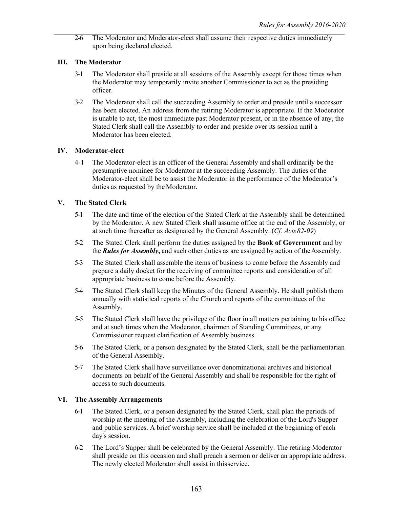2-6 The Moderator and Moderator-elect shall assume their respective duties immediately upon being declared elected.

# **III. The Moderator**

- 3-1 The Moderator shall preside at all sessions of the Assembly except for those times when the Moderator may temporarily invite another Commissioner to act as the presiding officer.
- 3-2 The Moderator shall call the succeeding Assembly to order and preside until a successor has been elected. An address from the retiring Moderator is appropriate. If the Moderator is unable to act, the most immediate past Moderator present, or in the absence of any, the Stated Clerk shall call the Assembly to order and preside over its session until a Moderator has been elected.

# **IV. Moderator-elect**

4-1 The Moderator-elect is an officer of the General Assembly and shall ordinarily be the presumptive nominee for Moderator at the succeeding Assembly. The duties of the Moderator-elect shall be to assist the Moderator in the performance of the Moderator's duties as requested by the Moderator.

# **V. The Stated Clerk**

- 5-1 The date and time of the election of the Stated Clerk at the Assembly shall be determined by the Moderator. A new Stated Clerk shall assume office at the end of the Assembly, or at such time thereafter as designated by the General Assembly. (*Cf. Acts82-09*)
- 5-2 The Stated Clerk shall perform the duties assigned by the **Book of Government** and by the **Rules for Assembly**, and such other duties as are assigned by action of the Assembly.
- 5-3 The Stated Clerk shall assemble the items of business to come before the Assembly and prepare a daily docket for the receiving of committee reports and consideration of all appropriate business to come before the Assembly.
- 5-4 The Stated Clerk shall keep the Minutes of the General Assembly. He shall publish them annually with statistical reports of the Church and reports of the committees of the Assembly.
- 5-5 The Stated Clerk shall have the privilege of the floor in all matters pertaining to his office and at such times when the Moderator, chairmen of Standing Committees, or any Commissioner request clarification of Assembly business.
- 5-6 The Stated Clerk, or a person designated by the Stated Clerk, shall be the parliamentarian of the General Assembly.
- 5-7 The Stated Clerk shall have surveillance over denominational archives and historical documents on behalf of the General Assembly and shall be responsible for the right of access to such documents.

#### **VI. The Assembly Arrangements**

- 6-1 The Stated Clerk, or a person designated by the Stated Clerk, shall plan the periods of worship at the meeting of the Assembly, including the celebration of the Lord's Supper and public services. A brief worship service shall be included at the beginning of each day's session.
- 6-2 The Lord's Supper shall be celebrated by the General Assembly. The retiring Moderator shall preside on this occasion and shall preach a sermon or deliver an appropriate address. The newly elected Moderator shall assist in thisservice.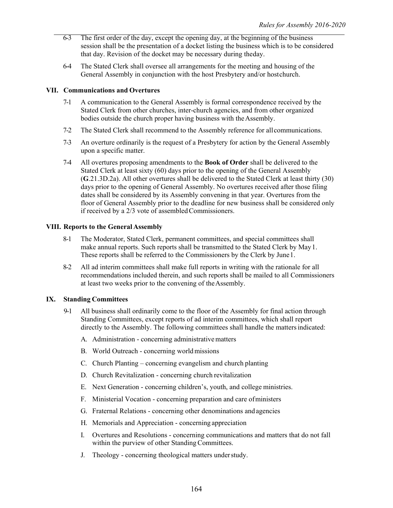- 6-3 The first order of the day, except the opening day, at the beginning of the business session shall be the presentation of a docket listing the business which is to be considered that day. Revision of the docket may be necessary during theday.
- 6-4 The Stated Clerk shall oversee all arrangements for the meeting and housing of the General Assembly in conjunction with the host Presbytery and/or hostchurch.

#### **VII. Communications and Overtures**

- 7-1 A communication to the General Assembly is formal correspondence received by the Stated Clerk from other churches, inter-church agencies, and from other organized bodies outside the church proper having business with theAssembly.
- 7-2 The Stated Clerk shall recommend to the Assembly reference for allcommunications.
- 7-3 An overture ordinarily is the request of a Presbytery for action by the General Assembly upon a specific matter.
- 7-4 All overtures proposing amendments to the **Book of Order** shall be delivered to the Stated Clerk at least sixty (60) days prior to the opening of the General Assembly (**G**.21.3D.2a). All other overtures shall be delivered to the Stated Clerk at least thirty (30) days prior to the opening of General Assembly. No overtures received after those filing dates shall be considered by its Assembly convening in that year. Overtures from the floor of General Assembly prior to the deadline for new business shall be considered only if received by a 2/3 vote of assembled Commissioners.

#### **VIII. Reports to the General Assembly**

- 8-1 The Moderator, Stated Clerk, permanent committees, and special committees shall make annual reports. Such reports shall be transmitted to the Stated Clerk by May1. These reports shall be referred to the Commissioners by the Clerk by June1.
- 8-2 All ad interim committees shall make full reports in writing with the rationale for all recommendations included therein, and such reports shall be mailed to all Commissioners at least two weeks prior to the convening of theAssembly.

#### **IX. Standing Committees**

- 9-1 All business shall ordinarily come to the floor of the Assembly for final action through Standing Committees, except reports of ad interim committees, which shall report directly to the Assembly. The following committees shall handle the mattersindicated:
	- A. Administration concerning administrative matters
	- B. World Outreach concerning worldmissions
	- C. Church Planting concerning evangelism and church planting
	- D. Church Revitalization concerning church revitalization
	- E. Next Generation concerning children's, youth, and college ministries.
	- F. Ministerial Vocation concerning preparation and care ofministers
	- G. Fraternal Relations concerning other denominations and agencies
	- H. Memorials and Appreciation concerning appreciation
	- I. Overtures and Resolutions concerning communications and matters that do not fall within the purview of other Standing Committees.
	- J. Theology concerning theological matters understudy.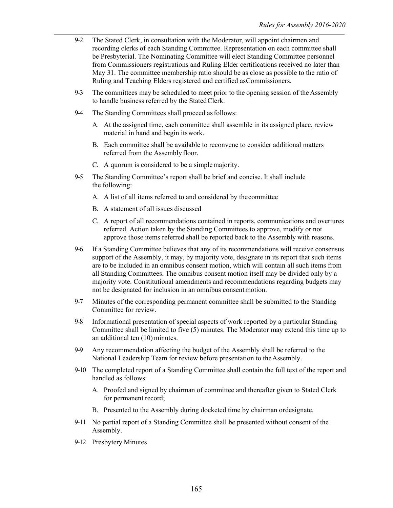- 9-2 The Stated Clerk, in consultation with the Moderator, will appoint chairmen and recording clerks of each Standing Committee. Representation on each committee shall be Presbyterial. The Nominating Committee will elect Standing Committee personnel from Commissioners registrations and Ruling Elder certifications received no later than May 31. The committee membership ratio should be as close as possible to the ratio of Ruling and Teaching Elders registered and certified asCommissioners.
- 9-3 The committees may be scheduled to meet prior to the opening session of theAssembly to handle business referred by the Stated Clerk.
- 9-4 The Standing Committees shall proceed as follows:
	- A. At the assigned time, each committee shall assemble in its assigned place, review material in hand and begin itswork.
	- B. Each committee shall be available to reconvene to consider additional matters referred from the Assembly floor.
	- C. A quorum is considered to be a simplemajority.
- 9-5 The Standing Committee's report shall be brief and concise. It shall include the following:
	- A. A list of all items referred to and considered by thecommittee
	- B. A statement of all issues discussed
	- C. A report of all recommendations contained in reports, communications and overtures referred. Action taken by the Standing Committees to approve, modify or not approve those items referred shall be reported back to the Assembly with reasons.
- 9-6 If a Standing Committee believes that any of its recommendations will receive consensus support of the Assembly, it may, by majority vote, designate in its report that such items are to be included in an omnibus consent motion, which will contain all such items from all Standing Committees. The omnibus consent motion itself may be divided only by a majority vote. Constitutional amendments and recommendations regarding budgets may not be designated for inclusion in an omnibus consentmotion.
- 9-7 Minutes of the corresponding permanent committee shall be submitted to the Standing Committee for review.
- 9-8 Informational presentation of special aspects of work reported by a particular Standing Committee shall be limited to five (5) minutes. The Moderator may extend this time up to an additional ten (10) minutes.
- 9-9 Any recommendation affecting the budget of the Assembly shall be referred to the National Leadership Team for review before presentation to theAssembly.
- 9-10 The completed report of a Standing Committee shall contain the full text of the report and handled as follows:
	- A. Proofed and signed by chairman of committee and thereafter given to Stated Clerk for permanent record;
	- B. Presented to the Assembly during docketed time by chairman ordesignate.
- 9-11 No partial report of a Standing Committee shall be presented without consent of the Assembly.
- 9-12 Presbytery Minutes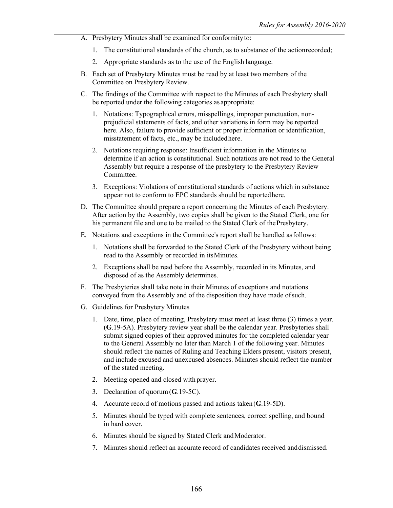- A. Presbytery Minutes shall be examined for conformityto:
	- 1. The constitutional standards of the church, as to substance of the actionrecorded;
	- 2. Appropriate standards as to the use of the English language.
- B. Each set of Presbytery Minutes must be read by at least two members of the Committee on Presbytery Review.
- C. The findings of the Committee with respect to the Minutes of each Presbytery shall be reported under the following categories as appropriate:
	- 1. Notations: Typographical errors, misspellings, improper punctuation, nonprejudicial statements of facts, and other variations in form may be reported here. Also, failure to provide sufficient or proper information or identification, misstatement of facts, etc., may be includedhere.
	- 2. Notations requiring response: Insufficient information in the Minutes to determine if an action is constitutional. Such notations are not read to the General Assembly but require a response of the presbytery to the Presbytery Review Committee.
	- 3. Exceptions: Violations of constitutional standards of actions which in substance appear not to conform to EPC standards should be reportedhere.
- D. The Committee should prepare a report concerning the Minutes of each Presbytery. After action by the Assembly, two copies shall be given to the Stated Clerk, one for his permanent file and one to be mailed to the Stated Clerk of the Presbytery.
- E. Notations and exceptions in the Committee's report shall be handled asfollows:
	- 1. Notations shall be forwarded to the Stated Clerk of the Presbytery without being read to the Assembly or recorded in itsMinutes.
	- 2. Exceptions shall be read before the Assembly, recorded in its Minutes, and disposed of as the Assembly determines.
- F. The Presbyteries shall take note in their Minutes of exceptions and notations conveyed from the Assembly and of the disposition they have made ofsuch.
- G. Guidelines for Presbytery Minutes
	- 1. Date, time, place of meeting, Presbytery must meet at least three (3) times a year. (**G**.19-5A). Presbytery review year shall be the calendar year. Presbyteries shall submit signed copies of their approved minutes for the completed calendar year to the General Assembly no later than March 1 of the following year. Minutes should reflect the names of Ruling and Teaching Elders present, visitors present, and include excused and unexcused absences. Minutes should reflect the number of the stated meeting.
	- 2. Meeting opened and closed with prayer.
	- 3. Declaration of quorum (**G**.19-5C).
	- 4. Accurate record of motions passed and actions taken (**G**.19-5D).
	- 5. Minutes should be typed with complete sentences, correct spelling, and bound in hard cover.
	- 6. Minutes should be signed by Stated Clerk andModerator.
	- 7. Minutes should reflect an accurate record of candidates received anddismissed.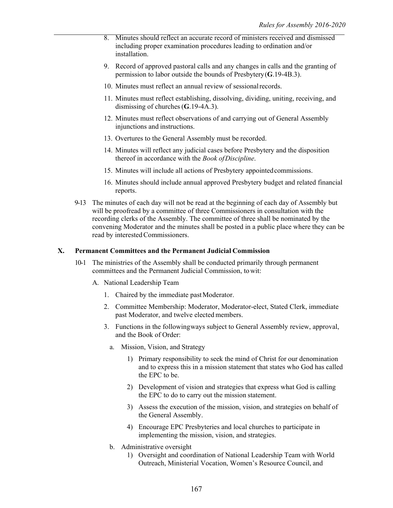- 8. Minutes should reflect an accurate record of ministers received and dismissed including proper examination procedures leading to ordination and/or installation.
- 9. Record of approved pastoral calls and any changes in calls and the granting of permission to labor outside the bounds of Presbytery (**G**.19-4B.3).
- 10. Minutes must reflect an annual review of sessional records.
- 11. Minutes must reflect establishing, dissolving, dividing, uniting, receiving, and dismissing of churches (**G**.19-4A.3).
- 12. Minutes must reflect observations of and carrying out of General Assembly injunctions and instructions.
- 13. Overtures to the General Assembly must be recorded.
- 14. Minutes will reflect any judicial cases before Presbytery and the disposition thereof in accordance with the *Book ofDiscipline*.
- 15. Minutes will include all actions of Presbytery appointedcommissions.
- 16. Minutes should include annual approved Presbytery budget and related financial reports.
- 9-13 The minutes of each day will not be read at the beginning of each day of Assembly but will be proofread by a committee of three Commissioners in consultation with the recording clerks of the Assembly. The committee of three shall be nominated by the convening Moderator and the minutes shall be posted in a public place where they can be read by interested Commissioners.

#### **X. Permanent Committees and the Permanent Judicial Commission**

- 10-1 The ministries of the Assembly shall be conducted primarily through permanent committees and the Permanent Judicial Commission, towit:
	- A. National Leadership Team
		- 1. Chaired by the immediate pastModerator.
		- 2. Committee Membership: Moderator, Moderator-elect, Stated Clerk, immediate past Moderator, and twelve elected members.
		- 3. Functions in the followingways subject to General Assembly review, approval, and the Book of Order:
			- a. Mission, Vision, and Strategy
				- 1) Primary responsibility to seek the mind of Christ for our denomination and to express this in a mission statement that states who God has called the EPC to be.
				- 2) Development of vision and strategies that express what God is calling the EPC to do to carry out the mission statement.
				- 3) Assess the execution of the mission, vision, and strategies on behalf of the General Assembly.
				- 4) Encourage EPC Presbyteries and local churches to participate in implementing the mission, vision, and strategies.
			- b. Administrative oversight
				- 1) Oversight and coordination of National Leadership Team with World Outreach, Ministerial Vocation, Women's Resource Council, and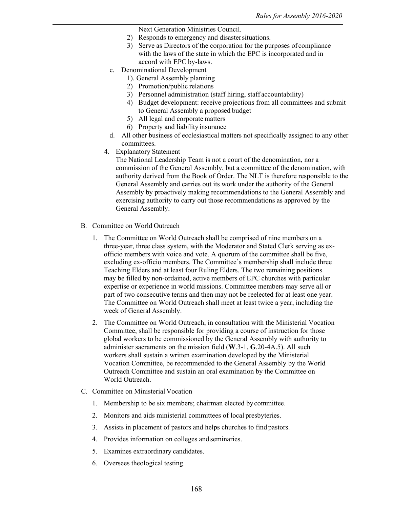Next Generation Ministries Council.

- 2) Responds to emergency and disastersituations.
- 3) Serve as Directors of the corporation for the purposes of compliance with the laws of the state in which the EPC is incorporated and in accord with EPC by-laws.
- c. Denominational Development
	- 1). General Assembly planning
	- 2) Promotion/public relations
	- 3) Personnel administration (staff hiring, staff accountability)
	- 4) Budget development: receive projections from all committees and submit to General Assembly a proposed budget
	- 5) All legal and corporate matters
	- 6) Property and liability insurance
- d. All other business of ecclesiastical matters not specifically assigned to any other committees.
- 4. Explanatory Statement

The National Leadership Team is not a court of the denomination, nor a commission of the General Assembly, but a committee of the denomination, with authority derived from the Book of Order. The NLT is therefore responsible to the General Assembly and carries out its work under the authority of the General Assembly by proactively making recommendations to the General Assembly and exercising authority to carry out those recommendations as approved by the General Assembly.

- B. Committee on World Outreach
	- 1. The Committee on World Outreach shall be comprised of nine members on a three-year, three class system, with the Moderator and Stated Clerk serving as exofficio members with voice and vote. A quorum of the committee shall be five, excluding ex-officio members. The Committee's membership shall include three Teaching Elders and at least four Ruling Elders. The two remaining positions may be filled by non-ordained, active members of EPC churches with particular expertise or experience in world missions. Committee members may serve all or part of two consecutive terms and then may not be reelected for at least one year. The Committee on World Outreach shall meet at least twice a year, including the week of General Assembly.
	- 2. The Committee on World Outreach, in consultation with the Ministerial Vocation Committee, shall be responsible for providing a course of instruction for those global workers to be commissioned by the General Assembly with authority to administer sacraments on the mission field (**W**.3-1, **G**.20-4A.5). All such workers shall sustain a written examination developed by the Ministerial Vocation Committee, be recommended to the General Assembly by the World Outreach Committee and sustain an oral examination by the Committee on World Outreach.
- C. Committee on Ministerial Vocation
	- 1. Membership to be six members; chairman elected bycommittee.
	- 2. Monitors and aids ministerial committees of local presbyteries.
	- 3. Assists in placement of pastors and helps churches to find pastors.
	- 4. Provides information on colleges and seminaries.
	- 5. Examines extraordinary candidates.
	- 6. Oversees theological testing.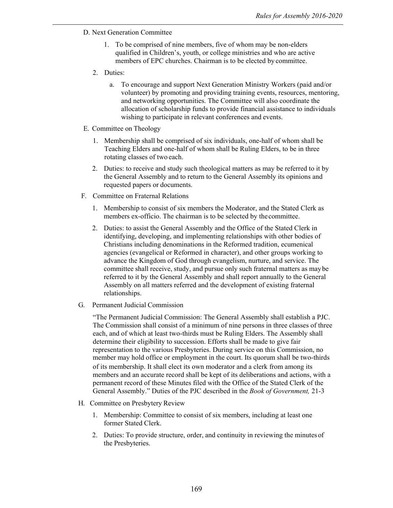- D. Next Generation Committee
	- 1. To be comprised of nine members, five of whom may be non-elders qualified in Children's, youth, or college ministries and who are active members of EPC churches. Chairman is to be elected by committee.
	- 2. Duties:
		- a. To encourage and support Next Generation Ministry Workers (paid and/or volunteer) by promoting and providing training events, resources, mentoring, and networking opportunities. The Committee will also coordinate the allocation of scholarship funds to provide financial assistance to individuals wishing to participate in relevant conferences and events.
- E. Committee on Theology
	- 1. Membership shall be comprised of six individuals, one-half of whom shall be Teaching Elders and one-half of whom shall be Ruling Elders, to be in three rotating classes of two each.
	- 2. Duties: to receive and study such theological matters as may be referred to it by the General Assembly and to return to the General Assembly its opinions and requested papers or documents.
- F. Committee on Fraternal Relations
	- 1. Membership to consist of six members the Moderator, and the Stated Clerk as members ex-officio. The chairman is to be selected by thecommittee.
	- 2. Duties: to assist the General Assembly and the Office of the Stated Clerk in identifying, developing, and implementing relationships with other bodies of Christians including denominations in the Reformed tradition, ecumenical agencies (evangelical or Reformed in character), and other groups working to advance the Kingdom of God through evangelism, nurture, and service. The committee shall receive, study, and pursue only such fraternal matters as maybe referred to it by the General Assembly and shall report annually to the General Assembly on all matters referred and the development of existing fraternal relationships.
- G. Permanent Judicial Commission

"The Permanent Judicial Commission: The General Assembly shall establish a PJC. The Commission shall consist of a minimum of nine persons in three classes of three each, and of which at least two-thirds must be Ruling Elders. The Assembly shall determine their eligibility to succession. Efforts shall be made to give fair representation to the various Presbyteries. During service on this Commission, no member may hold office or employment in the court. Its quorum shall be two-thirds of its membership. It shall elect its own moderator and a clerk from among its members and an accurate record shall be kept of its deliberations and actions, with a permanent record of these Minutes filed with the Office of the Stated Clerk of the General Assembly." Duties of the PJC described in the *Book of Government,* 21-3

- H. Committee on Presbytery Review
	- 1. Membership: Committee to consist of six members, including at least one former Stated Clerk.
	- 2. Duties: To provide structure, order, and continuity in reviewing the minutes of the Presbyteries.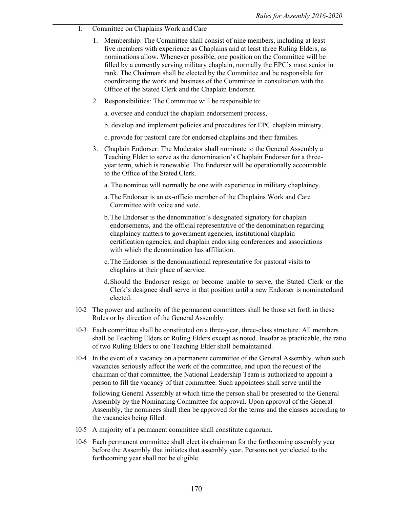- I. Committee on Chaplains Work and Care
	- 1. Membership: The Committee shall consist of nine members, including at least five members with experience as Chaplains and at least three Ruling Elders, as nominations allow. Whenever possible, one position on the Committee will be filled by a currently serving military chaplain, normally the EPC's most senior in rank. The Chairman shall be elected by the Committee and be responsible for coordinating the work and business of the Committee in consultation with the Office of the Stated Clerk and the Chaplain Endorser.
	- 2. Responsibilities: The Committee will be responsible to:

a. oversee and conduct the chaplain endorsement process,

- b. develop and implement policies and procedures for EPC chaplain ministry,
- c. provide for pastoral care for endorsed chaplains and their families.
- 3. Chaplain Endorser: The Moderator shall nominate to the General Assembly a Teaching Elder to serve as the denomination's Chaplain Endorser for a threeyear term, which is renewable. The Endorser will be operationally accountable to the Office of the Stated Clerk.
	- a. The nominee will normally be one with experience in military chaplaincy.
	- a.The Endorser is an ex-officio member of the Chaplains Work and Care Committee with voice and vote.
	- b.The Endorser is the denomination's designated signatory for chaplain endorsements, and the official representative of the denomination regarding chaplaincy matters to government agencies, institutional chaplain certification agencies, and chaplain endorsing conferences and associations with which the denomination has affiliation.
	- c.The Endorser is the denominational representative for pastoral visits to chaplains at their place of service.
	- d.Should the Endorser resign or become unable to serve, the Stated Clerk or the Clerk's designee shall serve in that position until a new Endorser is nominatedand elected.
- 10-2 The power and authority of the permanent committees shall be those set forth in these Rules or by direction of the General Assembly.
- 10-3 Each committee shall be constituted on a three-year, three-class structure. All members shall be Teaching Elders or Ruling Elders except as noted. Insofar as practicable, the ratio of two Ruling Elders to one Teaching Elder shall bemaintained.
- 10-4 In the event of a vacancy on a permanent committee of the General Assembly, when such vacancies seriously affect the work of the committee, and upon the request of the chairman of that committee, the National Leadership Team is authorized to appoint a person to fill the vacancy of that committee. Such appointees shall serve until the

following General Assembly at which time the person shall be presented to the General Assembly by the Nominating Committee for approval. Upon approval of the General Assembly, the nominees shall then be approved for the terms and the classes according to the vacancies being filled.

- 10-5 A majority of a permanent committee shall constitute aquorum.
- 10-6 Each permanent committee shall elect its chairman for the forthcoming assembly year before the Assembly that initiates that assembly year. Persons not yet elected to the forthcoming year shall not be eligible.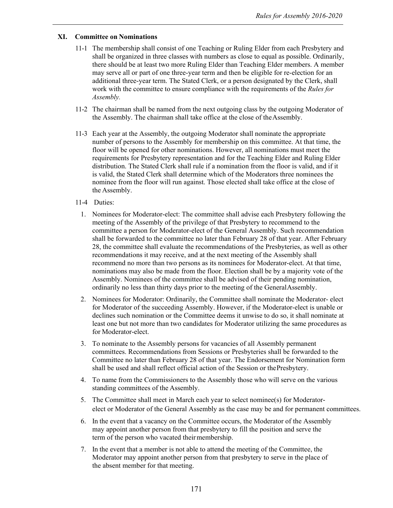# **XI. Committee on Nominations**

- 11-1 The membership shall consist of one Teaching or Ruling Elder from each Presbytery and shall be organized in three classes with numbers as close to equal as possible. Ordinarily, there should be at least two more Ruling Elder than Teaching Elder members. A member may serve all or part of one three-year term and then be eligible for re-election for an additional three-year term. The Stated Clerk, or a person designated by the Clerk, shall work with the committee to ensure compliance with the requirements of the *Rules for Assembly.*
- 11-2 The chairman shall be named from the next outgoing class by the outgoing Moderator of the Assembly. The chairman shall take office at the close of theAssembly.
- 11-3 Each year at the Assembly, the outgoing Moderator shall nominate the appropriate number of persons to the Assembly for membership on this committee. At that time, the floor will be opened for other nominations. However, all nominations must meet the requirements for Presbytery representation and for the Teaching Elder and Ruling Elder distribution. The Stated Clerk shall rule if a nomination from the floor is valid, and if it is valid, the Stated Clerk shall determine which of the Moderators three nominees the nominee from the floor will run against. Those elected shall take office at the close of the Assembly.
- 11-4 Duties:
	- 1. Nominees for Moderator-elect: The committee shall advise each Presbytery following the meeting of the Assembly of the privilege of that Presbytery to recommend to the committee a person for Moderator-elect of the General Assembly. Such recommendation shall be forwarded to the committee no later than February 28 of that year. After February 28, the committee shall evaluate the recommendations of the Presbyteries, as well as other recommendations it may receive, and at the next meeting of the Assembly shall recommend no more than two persons as its nominees for Moderator-elect. At that time, nominations may also be made from the floor. Election shall be by a majority vote of the Assembly. Nominees of the committee shall be advised of their pending nomination, ordinarily no less than thirty days prior to the meeting of the GeneralAssembly.
	- 2. Nominees for Moderator: Ordinarily, the Committee shall nominate the Moderator- elect for Moderator of the succeeding Assembly. However, if the Moderator-elect is unable or declines such nomination or the Committee deems it unwise to do so, it shall nominate at least one but not more than two candidates for Moderator utilizing the same procedures as for Moderator-elect.
	- 3. To nominate to the Assembly persons for vacancies of all Assembly permanent committees. Recommendations from Sessions or Presbyteries shall be forwarded to the Committee no later than February 28 of that year. The Endorsement for Nomination form shall be used and shall reflect official action of the Session or thePresbytery.
	- 4. To name from the Commissioners to the Assembly those who will serve on the various standing committees of the Assembly.
	- 5. The Committee shall meet in March each year to select nominee(s) for Moderatorelect or Moderator of the General Assembly as the case may be and for permanent committees.
	- 6. In the event that a vacancy on the Committee occurs, the Moderator of the Assembly may appoint another person from that presbytery to fill the position and serve the term of the person who vacated their membership.
	- 7. In the event that a member is not able to attend the meeting of the Committee, the Moderator may appoint another person from that presbytery to serve in the place of the absent member for that meeting.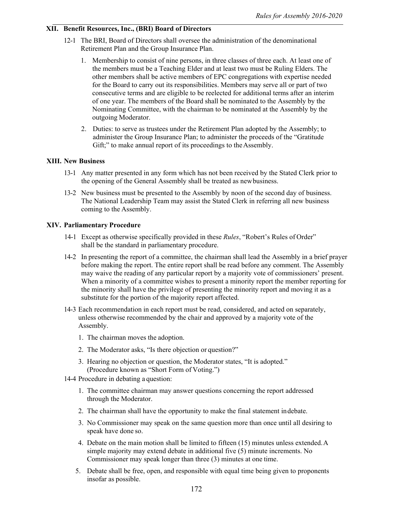#### **XII. Benefit Resources, Inc., (BRI) Board of Directors**

- 12-1 The BRI, Board of Directors shall oversee the administration of the denominational Retirement Plan and the Group Insurance Plan.
	- 1. Membership to consist of nine persons, in three classes of three each. At least one of the members must be a Teaching Elder and at least two must be Ruling Elders. The other members shall be active members of EPC congregations with expertise needed for the Board to carry out its responsibilities. Members may serve all or part of two consecutive terms and are eligible to be reelected for additional terms after an interim of one year. The members of the Board shall be nominated to the Assembly by the Nominating Committee, with the chairman to be nominated at the Assembly by the outgoing Moderator.
	- 2. Duties: to serve as trustees under the Retirement Plan adopted by the Assembly; to administer the Group Insurance Plan; to administer the proceeds of the "Gratitude Gift;" to make annual report of its proceedings to the Assembly.

#### **XIII. New Business**

- 13-1 Any matter presented in any form which has not been received by the Stated Clerk prior to the opening of the General Assembly shall be treated as newbusiness.
- 13-2 New business must be presented to the Assembly by noon of the second day of business. The National Leadership Team may assist the Stated Clerk in referring all new business coming to the Assembly.

#### **XIV. Parliamentary Procedure**

- 14-1 Except as otherwise specifically provided in these *Rules*, "Robert's Rules of Order" shall be the standard in parliamentary procedure.
- 14-2 In presenting the report of a committee, the chairman shall lead the Assembly in a brief prayer before making the report. The entire report shall be read before any comment. The Assembly may waive the reading of any particular report by a majority vote of commissioners' present. When a minority of a committee wishes to present a minority report the member reporting for the minority shall have the privilege of presenting the minority report and moving it as a substitute for the portion of the majority report affected.
- 14-3 Each recommendation in each report must be read, considered, and acted on separately, unless otherwise recommended by the chair and approved by a majority vote of the Assembly.
	- 1. The chairman moves the adoption.
	- 2. The Moderator asks, "Is there objection or question?"
	- 3. Hearing no objection or question, the Moderator states, "It is adopted." (Procedure known as "Short Form of Voting.")
- 14-4 Procedure in debating a question:
	- 1. The committee chairman may answer questions concerning the report addressed through the Moderator.
	- 2. The chairman shall have the opportunity to make the final statement indebate.
	- 3. No Commissioner may speak on the same question more than once until all desiring to speak have done so.
	- 4. Debate on the main motion shall be limited to fifteen (15) minutes unless extended.A simple majority may extend debate in additional five (5) minute increments. No Commissioner may speak longer than three (3) minutes at one time.
	- 5. Debate shall be free, open, and responsible with equal time being given to proponents insofar as possible.